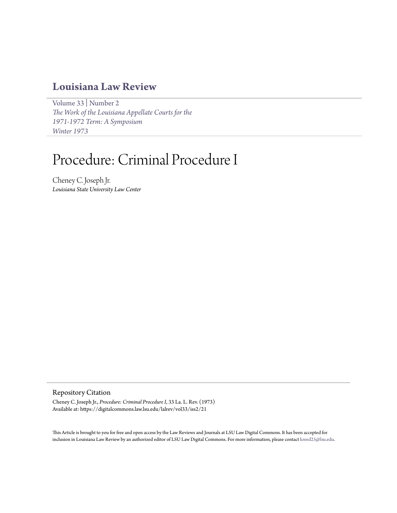# **[Louisiana Law Review](https://digitalcommons.law.lsu.edu/lalrev)**

[Volume 33](https://digitalcommons.law.lsu.edu/lalrev/vol33) | [Number 2](https://digitalcommons.law.lsu.edu/lalrev/vol33/iss2) *[The Work of the Louisiana Appellate Courts for the](https://digitalcommons.law.lsu.edu/lalrev/vol33/iss2) [1971-1972 Term: A Symposium](https://digitalcommons.law.lsu.edu/lalrev/vol33/iss2) [Winter 1973](https://digitalcommons.law.lsu.edu/lalrev/vol33/iss2)*

# Procedure: Criminal Procedure I

Cheney C. Joseph Jr. *Louisiana State University Law Center*

### Repository Citation

Cheney C. Joseph Jr., *Procedure: Criminal Procedure I*, 33 La. L. Rev. (1973) Available at: https://digitalcommons.law.lsu.edu/lalrev/vol33/iss2/21

This Article is brought to you for free and open access by the Law Reviews and Journals at LSU Law Digital Commons. It has been accepted for inclusion in Louisiana Law Review by an authorized editor of LSU Law Digital Commons. For more information, please contact [kreed25@lsu.edu](mailto:kreed25@lsu.edu).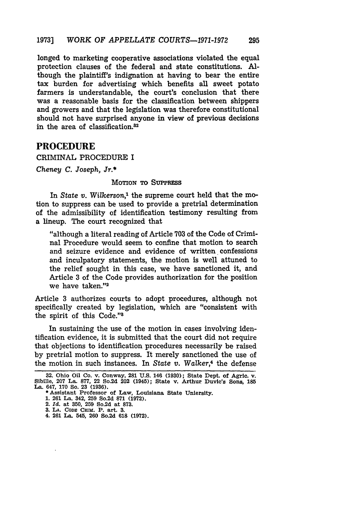longed to marketing cooperative associations violated the equal protection clauses of the federal and state constitutions. Although the plaintiff's indignation at having to bear the entire tax burden for advertising which benefits all sweet potato farmers is understandable, the court's conclusion that there was a reasonable basis for the classification between shippers and growers and that the legislation was therefore constitutional should not have surprised anyone in view of previous decisions in the area of classification.82

## **PROCEDURE**

#### CRIMINAL PROCEDURE I

*Cheney C. Joseph, Jr.\**

#### MOTION TO **SUPPRss**

In *State v. Wilkerson,'* the supreme court held that the motion to suppress can be used to provide a pretrial determination of the admissibility of identification testimony resulting from a lineup. The court recognized that

"although a literal reading of Article 703 of the Code of Criminal Procedure would seem to confine that motion to search and seizure evidence and evidence of written confessions and inculpatory statements, the motion is well attuned to the relief sought in this case, we have sanctioned it, and Article 3 of the Code provides authorization for the position we have taken."

Article 3 authorizes courts to adopt procedures, although not specifically created by legislation, which are "consistent with the spirit of this Code."

In sustaining the use of the motion in cases involving identification evidence, it is submitted that the court did not require that objections to identification procedures necessarily be raised by pretrial motion to suppress. It merely sanctioned the use of the motion in such instances. In *State v. Walker,4* the defense

- **1. 261** La. 342, **259** So.2d **871 (1972).**
- 2. *Id.* at **350, 259** So.2d at **873.**
- **3. LA. CODE CRIM.** P. art. **3.**
- **4. 261 La. 545, 260 So.2d 618 (1972).**

**<sup>32.</sup>** Ohio Oil Co. v. Conway, **281 U.S.** 146 **(1930);** State Dept. of Agric. v. Sibille, **207** La. **877,** 22 So.2d 202 (1945); State v. Arthur Duvic's Sons, **185** La. 647, **170** So. **23 (1936). \*** Assistant Professor of Law, Louisiana State Uniersity.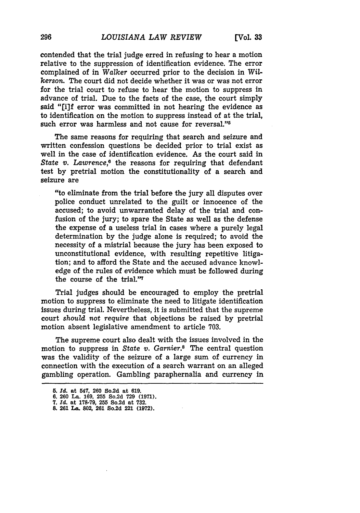contended that the trial judge erred in refusing to hear a motion relative to the suppression of identification evidence. The error complained of in *Walker* occurred prior to the decision in *Wilkerson.* The court did not decide whether it was or was not error for the trial court to refuse to hear the motion to suppress in advance of trial. Due to the facts of the case, the court simply said "[i]f error was committed in not hearing the evidence as to identification on the motion to suppress instead of at the trial, such error was harmless and not cause for reversal."<sup>5</sup>

The same reasons for requiring that search and seizure and written confession questions be decided prior to trial exist as well in the case of identification evidence. As the court said in State v. Lawrence,<sup>6</sup> the reasons for requiring that defendant test **by** pretrial motion the constitutionality of a search and seizure are

"to eliminate from the trial before the jury all disputes over police conduct unrelated to the guilt or innocence of the accused; to avoid unwarranted delay of the trial and confusion of the jury; to spare the State as well as the defense the expense of a useless trial in cases where a purely legal determination by the judge alone is required; to avoid the necessity of a mistrial because the jury has been exposed to unconstitutional evidence, with resulting repetitive litigation; and to afford the State and the accused advance knowledge of the rules of evidence which must be followed during the course of the trial."7

Trial judges should be encouraged to employ the pretrial motion to suppress to eliminate the need to litigate identification issues during trial. Nevertheless, it is submitted that the supreme court *should not require* that objections be raised by pretrial motion absent legislative amendment to article 703.

The supreme court also dealt with the issues involved in the motion to suppress in *State v. Gamier.8* The central question was the validity of the seizure of a large sum of currency in connection with the execution of a search warrant on an alleged gambling operation. Gambling paraphernalia and currency in

**<sup>5.</sup>** *rd.* **at 547, 260 So.2d at 619.**

**<sup>6. 260</sup> La. 169, 255** So.2d **729 (1971).**

**<sup>7.</sup>** *Id.* at **178-79, 255** So.2d at **732. 8. 261 La. 802, 261 So.2d** 221 **(1972).**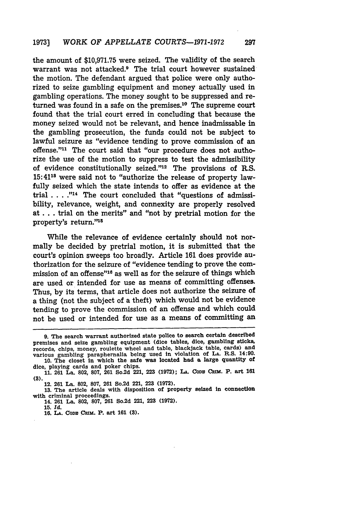the amount of **\$10,971.75** were seized. The validity of the search warrant was not attacked.9 The trial court however sustained the motion. The defendant argued that police were only authorized to seize gambling equipment and money actually used in gambling operations. The money sought to be suppressed and returned was found in a safe on the premises.<sup>10</sup> The supreme court found that the trial court erred in concluding that because the money seized would not be relevant, and hence inadmissable in the gambling prosecution, the funds could not be subject to lawful seizure as "evidence tending to prove commission of an offense."<sup>11</sup> The court said that "our procedure does not authorize the use of the motion to suppress to test the admissibility of evidence constitutionally seized." $12$  The provisions of R.S. **15:4118** were said not to "authorize the release of property lawfully seized which the state intends to offer as evidence at the trial . . . .<sup>"14</sup> The court concluded that "questions of admissibility, relevance, weight, and connexity are properly resolved at **...** trial on the merits" and "not **by** pretrial motion for the property's return."15

While the relevance of evidence certainly should not normally be decided **by** pretrial motion, it is submitted that the court's opinion sweeps too broadly. Article **161** does provide authorization for the seizure of "evidence tending to prove the commission of an offense"<sup>16</sup> as well as for the seizure of things which are used or intended for use as means of committing offenses. Thus, **by** its terms, that article does not authorize the seizure of a thing (not the subject of a theft) which would not be evidence tending to prove the commission of an offense and which could not be used or intended for use as a means of committing an

12. **261** La. **802, 807, 261** So.2d 221, **223 (1972).**

**15.** *Id.*

**<sup>9.</sup>** The search warrant authorized state police to search certain described premises and seize gambling equipment (dice tables, dice, gambling sticks, records, chips, money, roulette wheel and table, blackjack table, cards) and various gambling paraphernalia being used in violation of **LA.** R.S. 14:90.

**<sup>10.</sup>** The closet in which the safe was located had a large quantity **of** dice, playing cards and poker chips. **11. 261** La. **802, 807, 261** So.2d 221, **223 (1972); LA. CODS** CalM. P. art **<sup>161</sup> (3).**

**<sup>13.</sup>** The article deals with disposition of property seized in connection with criminal proceedings.

<sup>14.</sup> **261** La. **802, 807, 261** So.2d 221, **223 (1972).**

**<sup>16.</sup> LA. CODS CRIM.** P. art **161 (3).**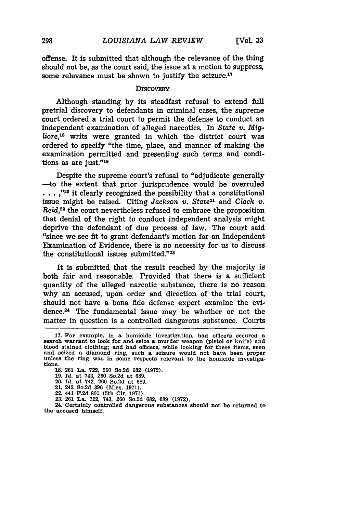offense. It is submitted that although the relevance of the thing should not be, as the court said, the issue at a motion to suppress, some relevance must be shown to justify the seizure.<sup>17</sup>

#### **DISCOVERY**

Although standing **by** its steadfast refusal to extend full pretrial discovery to defendants in criminal cases, the supreme court ordered a trial court to permit the defense to conduct an independent examination of alleged narcotics. In *State v. Mig*liore,18 writs were granted in which the district court was ordered to specify "the time, place, and manner of making the examination permitted and presenting such terms and conditions as are just."19

Despite the supreme court's refusal to "adjudicate generally -to the extent that prior jurisprudence would be overruled **. . . ,,,20** it clearly recognized the possibility that a constitutional issue might be raised. Citing *Jackson v. State21* and *Clack v. Reid,22* the court nevertheless refused to embrace the proposition that denial of the right to conduct independent analysis might deprive the defendant of due process of law. The court said "since we see fit to grant defendant's motion for an Independent Examination of Evidence, there is no necessity for us to discuss the constitutional issues submitted."<sup>23</sup>

It is submitted that the result reached by the majority is both fair and reasonable. Provided that there is a sufficient quantity of the alleged narcotic substance, there is no reason why an accused, upon order and direction of the trial court, should not have a bona fide defense expert examine the evidence.24 The fundamental issue may be whether or not the matter in question is a controlled dangerous substance. Courts

- 22. 441 **F.2d 801** (5th Cir. **1971). 23. 261** La. **722,** 743, **260** So.2d **682, 689 (1972).**
- 

24. Certainly controlled dangerous substances should not be returned to the accused himself.

**<sup>17.</sup>** For example, in a homicide investigation, had officers secured a search warrant to look for and seize **a** murder weapon (pistol or knife) and and seized a diamond ring, such a seizure would not have been proper unless the ring was in some respects relevant to the homicide investigations.

**<sup>18.</sup> 261** La. **722, 260** So.2d **682 (1972). 19. Id.** at 743, **260** So.2d at **689.**

<sup>20.</sup> *Id.* at 742, **260** So.2d at **689.**

<sup>21.</sup> 243 **So.2d 396** (Miss. **1971).**